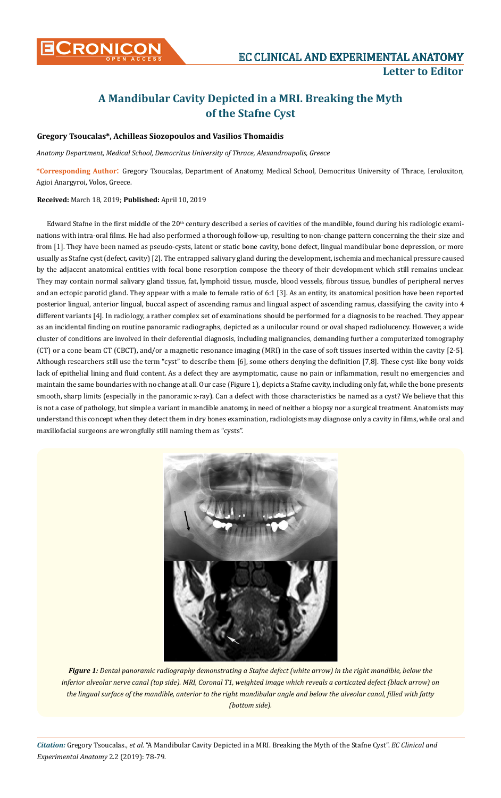

## **A Mandibular Cavity Depicted in a MRI. Breaking the Myth of the Stafne Cyst**

## **Gregory Tsoucalas\*, Achilleas Siozopoulos and Vasilios Thomaidis**

*Anatomy Department, Medical School, Democritus University of Thrace, Alexandroupolis, Greece*

**\*Corresponding Author**: Gregory Tsoucalas, Department of Anatomy, Medical School, Democritus University of Thrace, Ieroloxiton, Agioi Anargyroi, Volos, Greece.

## **Received:** March 18, 2019; **Published:** April 10, 2019

Edward Stafne in the first middle of the  $20<sup>th</sup>$  century described a series of cavities of the mandible, found during his radiologic examinations with intra-oral films. He had also performed a thorough follow-up, resulting to non-change pattern concerning the their size and from [1]. They have been named as pseudo-cysts, latent or static bone cavity, bone defect, lingual mandibular bone depression, or more usually as Stafne cyst (defect, cavity) [2]. The entrapped salivary gland during the development, ischemia and mechanical pressure caused by the adjacent anatomical entities with focal bone resorption compose the theory of their development which still remains unclear. They may contain normal salivary gland tissue, fat, lymphoid tissue, muscle, blood vessels, fibrous tissue, bundles of peripheral nerves and an ectopic parotid gland. They appear with a male to female ratio of 6:1 [3]. As an entity, its anatomical position have been reported posterior lingual, anterior lingual, buccal aspect of ascending ramus and lingual aspect of ascending ramus, classifying the cavity into 4 different variants [4]. In radiology, a rather complex set of examinations should be performed for a diagnosis to be reached. They appear as an incidental finding on routine panoramic radiographs, depicted as a unilocular round or oval shaped radiolucency. However, a wide cluster of conditions are involved in their deferential diagnosis, including malignancies, demanding further a computerized tomography (CT) or a cone beam CT (CBCT), and/or a magnetic resonance imaging (MRI) in the case of soft tissues inserted within the cavity [2-5]. Although researchers still use the term "cyst" to describe them [6], some others denying the definition [7,8]. These cyst-like bony voids lack of epithelial lining and fluid content. As a defect they are asymptomatic, cause no pain or inflammation, result no emergencies and maintain the same boundaries with no change at all. Our case (Figure 1), depicts a Stafne cavity, including only fat, while the bone presents smooth, sharp limits (especially in the panoramic x-ray). Can a defect with those characteristics be named as a cyst? We believe that this is not a case of pathology, but simple a variant in mandible anatomy, in need of neither a biopsy nor a surgical treatment. Anatomists may understand this concept when they detect them in dry bones examination, radiologists may diagnose only a cavity in films, while oral and maxillofacial surgeons are wrongfully still naming them as "cysts".



*Figure 1: Dental panoramic radiography demonstrating a Stafne defect (white arrow) in the right mandible, below the inferior alveolar nerve canal (top side). MRI, Coronal Τ1, weighted image which reveals a corticated defect (black arrow) on the lingual surface of the mandible, anterior to the right mandibular angle and below the alveolar canal, filled with fatty (bottom side).*